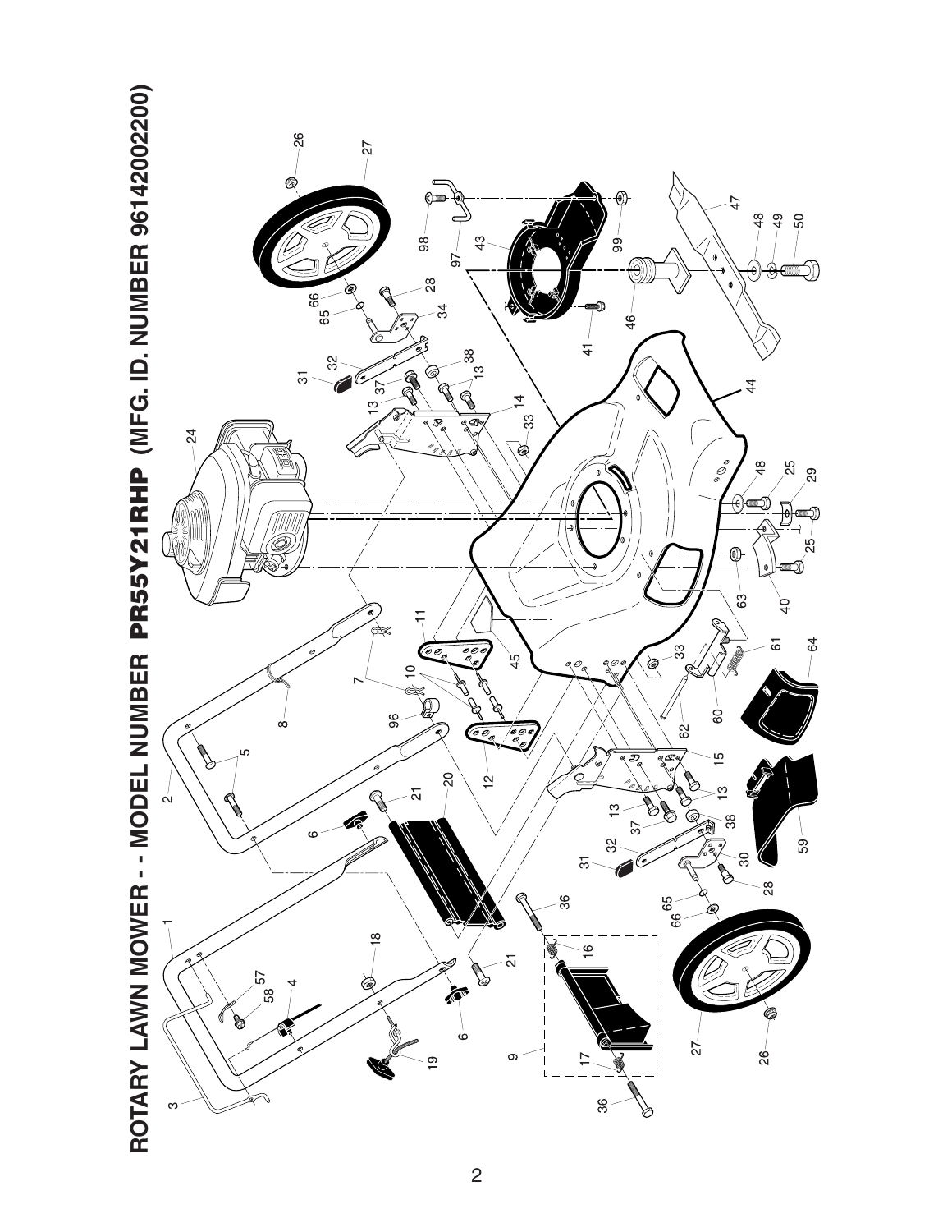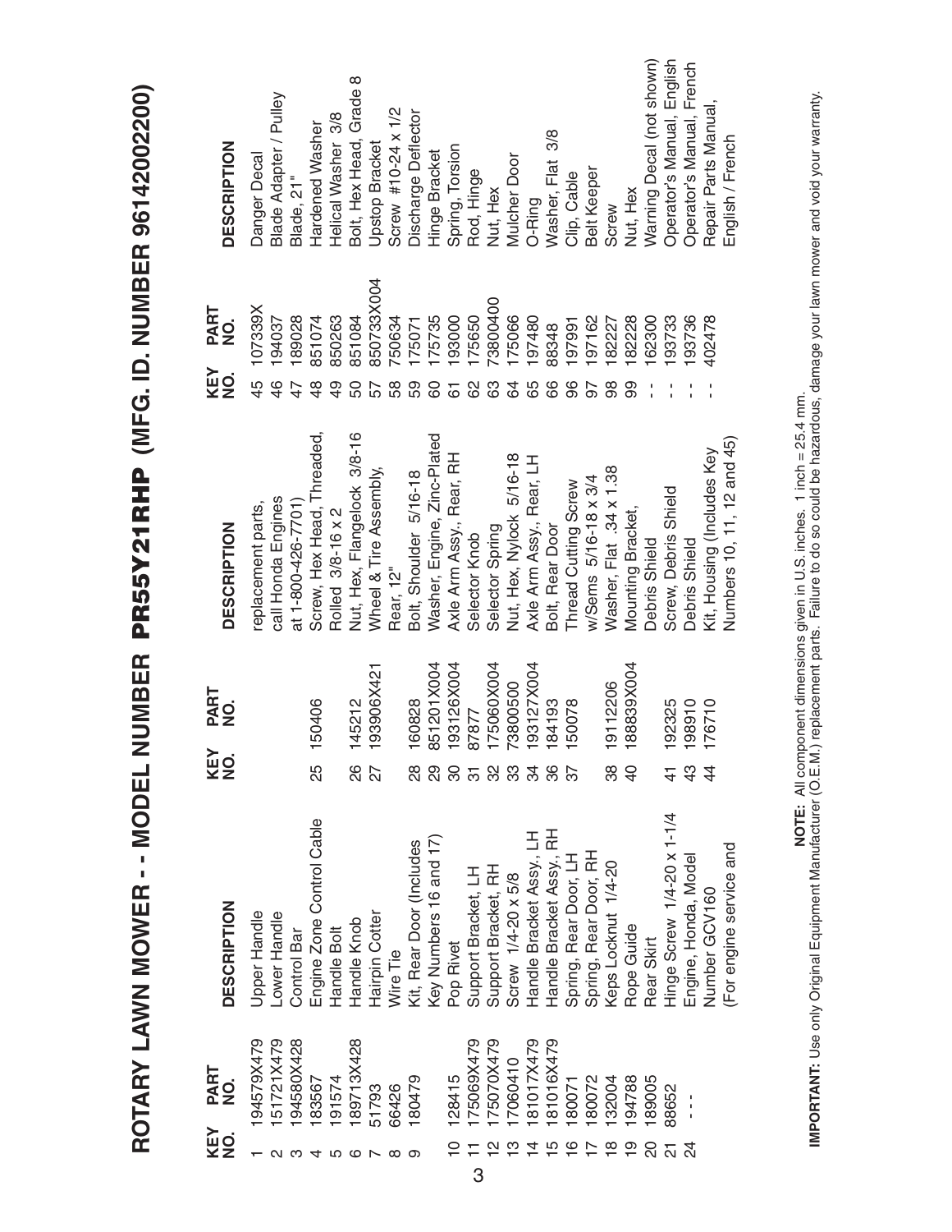ROTARY LAWN MOWER -- MODEL NUMBER PR55Y21RHP (MFG. ID. NUMBER 96142002200) **ROTARY LAWN MOWER - - MODEL NUMBER PR55Y21RHP (MFG. ID. NUMBER 96142002200)**

| KEY<br>NO.      | PART<br>NO.              | <b>DESCRIPTION</b>         | KEY<br>NO.     | PART<br>NO. | <b>DESCRIPTION</b>          | <b>KEY</b><br>NO. | PART<br>NO. | <b>DESCRIPTION</b>         |
|-----------------|--------------------------|----------------------------|----------------|-------------|-----------------------------|-------------------|-------------|----------------------------|
|                 | 94579X479                | Upper Handle               |                |             | replacement parts,          | 45                | 107339X     | Danger Decal               |
|                 | 51721X479                | Lower Handle               |                |             | call Honda Engines          | $\frac{4}{6}$     | 194037      | Blade Adapter / Pulley     |
|                 | 94580X428                | Control Bar                |                |             | at 1-800-426-7701)          |                   | 189028      | Blade, 21"                 |
|                 | 83567                    | Engine Zone Control Cable  | 25             | 150406      | Screw, Hex Head, Threaded,  |                   | 851074      | Hardened Washer            |
|                 | 191574                   | Handle Bolt                |                |             | Rolled 3/8-16 x 2           |                   | 850263      | Helical Washer 3/8         |
| ဖ               | 89713X428                | Handle Knob                | 88             | 145212      | Nut, Hex, Flangelock 3/8-16 |                   | 851084      | Bolt, Hex Head, Grade 8    |
|                 | 51793                    | Hairpin Cotter             | 27             | 193906X421  | Wheel & Tire Assembly,      |                   | 850733X004  | <b>Upstop Bracket</b>      |
|                 | 66426                    | Wire Tie                   |                |             | Rear, 12"                   | 58                | 750634      | Screw #10-24 x 1/2         |
| တ               | 180479                   | Kit, Rear Door (Includes   | 28             | 160828      | Bolt, Shoulder 5/16-18      | 59                | 175071      | <b>Discharge Deflector</b> |
|                 |                          | Key Numbers 16 and 17)     |                | 851201X004  | Washer, Engine, Zinc-Plated | 80                | 175735      | Hinge Bracket              |
| $\widetilde{C}$ | 128415                   | Pop Rivet                  | 80             | 193126X004  | Axle Arm Assy., Rear, RH    | 61                | 193000      | Spring, Torsion            |
|                 | 175069X479<br>175070X479 | Support Bracket, LH        | $\overline{5}$ | 87877       | Selector Knob               |                   | 175650      | Rod, Hinge                 |
|                 |                          | Support Bracket, RH        | သ္တ            | 175060X004  | Selector Spring             |                   | 73800400    | Nut, Hex                   |
|                 | 17060410                 | Screw 1/4-20 x 5/8         | 33             | 73800500    | Nut, Hex, Nylock 5/16-18    | 84                | 175066      | Mulcher Door               |
| $\overline{4}$  | 181017X479               | Handle Bracket Assy, LH    | 34             | 193127X004  | Axle Arm Assy., Rear, LH    | 65                | 197480      | O-Ring                     |
| $\overline{5}$  | 181016X479               | Handle Bracket Assy, RH    | 86<br>87       | 184193      | Bolt, Rear Door             | 89                | 88348       | Washer, Flat 3/8           |
| $\frac{6}{1}$   | 180071                   | Spring, Rear Door, LH      |                | 150078      | Thread Cutting Screw        | 96                | 197991      | Clip, Cable                |
|                 | 180072                   | Spring, Rear Door, RH      |                |             | w/Sems 5/16-18 x 3/4        |                   | 197162      | <b>Belt Keeper</b>         |
| $\frac{8}{10}$  | 32004                    | Keps Locknut 1/4-20        | 38             | 19112206    | Washer, Flat .34 x 1.38     | 86                | 82227       | Screw                      |
| $\overline{0}$  | 194788                   | Rope Guide                 | $\overline{4}$ | 188839X004  | Mounting Bracket,           | 99                | 82228       | Nut, Hex                   |
|                 | 89005                    | Rear Skirt                 |                |             | Debris Shield               |                   | 62300       | Warning Decal (not shown)  |
|                 | 88652                    | Hinge Screw 1/4-20 x 1-1/4 |                | 192325      | Screw, Debris Shield        |                   | 193733      | Operator's Manual, English |
|                 |                          | Engine, Honda, Model       | $\frac{3}{4}$  | 198910      | Debris Shield               |                   | 193736      | Operator's Manual, French  |
|                 |                          | Number GCV160              | $\overline{4}$ | 176710      | Kit, Housing (Includes Key  |                   | 402478      | Repair Parts Manual,       |
|                 |                          | (For engine service and    |                |             | Numbers 10, 11, 12 and 45)  |                   |             | English / French           |
|                 |                          |                            |                |             |                             |                   |             |                            |

**IMPORTANT:** Use only Original Equipment Manufacturer (O.E.M.) replacement parts. Failure to do so could be hazardous, damage your lawn mower and void your warranty.<br>IMPORTANT: Use only Original Equipment Manufacturer (O. **IMPORTANT:** Use only Original Equipment Manufacturer (O.E.M.) replacement parts. Failure to do so could be hazardous, damage your lawn mower and void your warranty. **NOTE:** All component dimensions given in U.S. inches. 1 inch = 25.4 mm.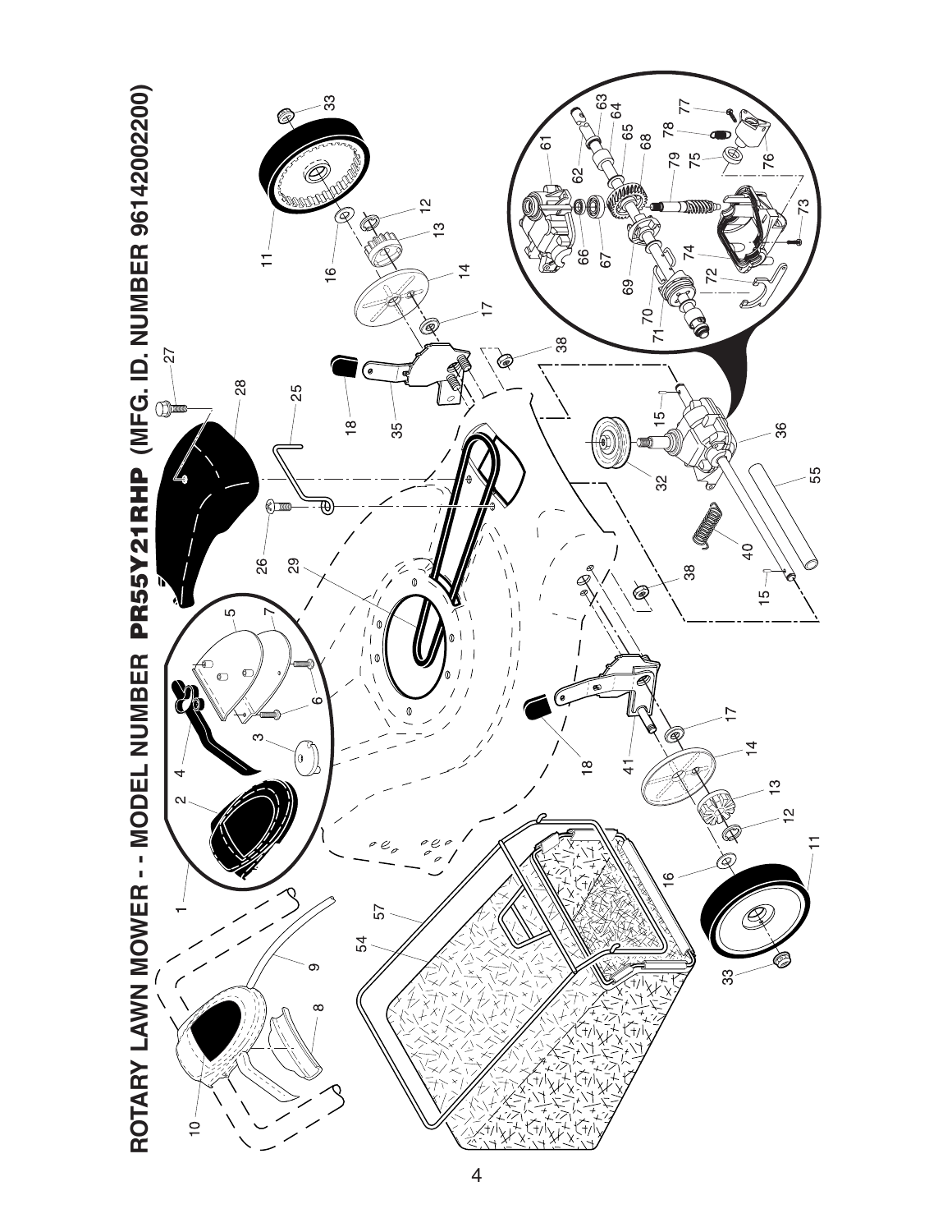